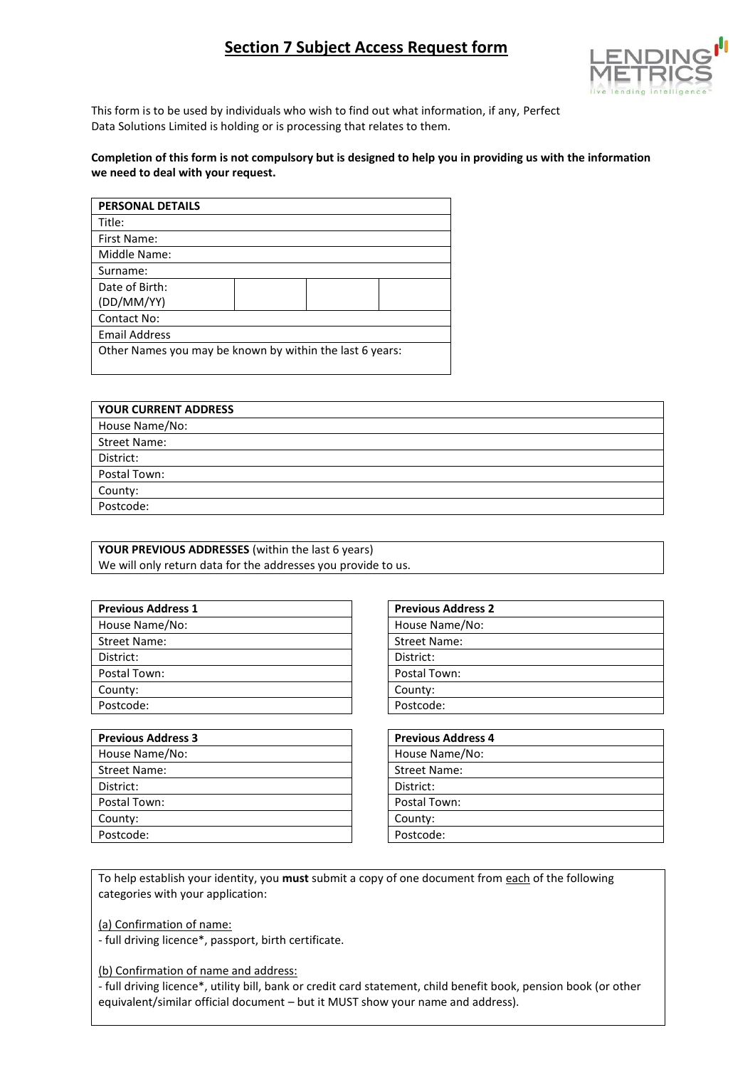# **Section 7 Subject Access Request form**



This form is to be used by individuals who wish to find out what information, if any, Perfect Data Solutions Limited is holding or is processing that relates to them.

#### **Completion of this form is not compulsory but is designed to help you in providing us with the information we need to deal with your request.**

| <b>PERSONAL DETAILS</b>                                  |  |  |  |
|----------------------------------------------------------|--|--|--|
| Title:                                                   |  |  |  |
| First Name:                                              |  |  |  |
| Middle Name:                                             |  |  |  |
| Surname:                                                 |  |  |  |
| Date of Birth:                                           |  |  |  |
| (DD/MM/YY)                                               |  |  |  |
| Contact No:                                              |  |  |  |
| <b>Email Address</b>                                     |  |  |  |
| Other Names you may be known by within the last 6 years: |  |  |  |
|                                                          |  |  |  |

| <b>YOUR CURRENT ADDRESS</b> |
|-----------------------------|
| House Name/No:              |
| <b>Street Name:</b>         |
| District:                   |
| Postal Town:                |
| County:                     |
| Postcode:                   |

| YOUR PREVIOUS ADDRESSES (within the last 6 years)             |
|---------------------------------------------------------------|
| We will only return data for the addresses you provide to us. |

| <b>Previous Address 1</b> | <b>Previous Address 2</b> |
|---------------------------|---------------------------|
| House Name/No:            | House Name/No:            |
| <b>Street Name:</b>       | <b>Street Name:</b>       |
| District:                 | District:                 |
| Postal Town:              | Postal Town:              |
| County:                   | County:                   |
| Postcode:                 | Postcode:                 |
|                           |                           |

| <b>Previous Address 3</b> | <b>Previous Address 4</b> |
|---------------------------|---------------------------|
| House Name/No:            | House Name/No:            |
| <b>Street Name:</b>       | <b>Street Name:</b>       |
| District:                 | District:                 |
| Postal Town:              | Postal Town:              |
| County:                   | County:                   |
| Postcode:                 | Postcode:                 |

| <b>Previous Address 2</b> |
|---------------------------|
| House Name/No:            |
| <b>Street Name:</b>       |
| District:                 |
| Postal Town:              |
| County:                   |
| Postcode:                 |
|                           |

| <b>Previous Address 4</b> |  |
|---------------------------|--|
| House Name/No:            |  |
| Street Name:              |  |
| District:                 |  |
| Postal Town:              |  |
| County:                   |  |
| Postcode:                 |  |

To help establish your identity, you **must** submit a copy of one document from each of the following categories with your application:

(a) Confirmation of name:

- full driving licence\*, passport, birth certificate.

(b) Confirmation of name and address:

- full driving licence\*, utility bill, bank or credit card statement, child benefit book, pension book (or other equivalent/similar official document – but it MUST show your name and address).